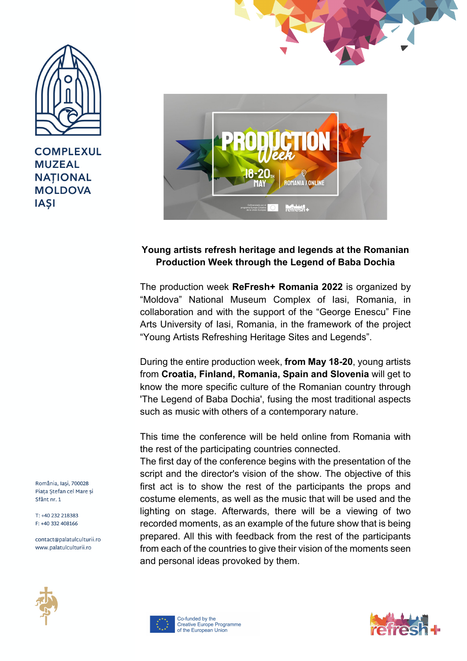

**COMPLEXUL MUZEAL NATIONAL MOLDOVA IASI** 





## **Young artists refresh heritage and legends at the Romanian Production Week through the Legend of Baba Dochia**

The production week **ReFresh+ Romania 2022** is organized by "Moldova" National Museum Complex of Iasi, Romania, in collaboration and with the support of the "George Enescu" Fine Arts University of Iasi, Romania, in the framework of the project "Young Artists Refreshing Heritage Sites and Legends".

During the entire production week, **from May 18-20**, young artists from **Croatia, Finland, Romania, Spain and Slovenia** will get to know the more specific culture of the Romanian country through 'The Legend of Baba Dochia', fusing the most traditional aspects such as music with others of a contemporary nature.

This time the conference will be held online from Romania with the rest of the participating countries connected.

The first day of the conference begins with the presentation of the script and the director's vision of the show. The objective of this first act is to show the rest of the participants the props and costume elements, as well as the music that will be used and the lighting on stage. Afterwards, there will be a viewing of two recorded moments, as an example of the future show that is being prepared. All this with feedback from the rest of the participants from each of the countries to give their vision of the moments seen and personal ideas provoked by them.



România, Iasi, 700028 Piața Ștefan cel Mare și Sfânt nr. 1

T: +40 232 218383  $F + 40332408166$ 

contact@palatulculturii.ro www.palatulculturii.ro